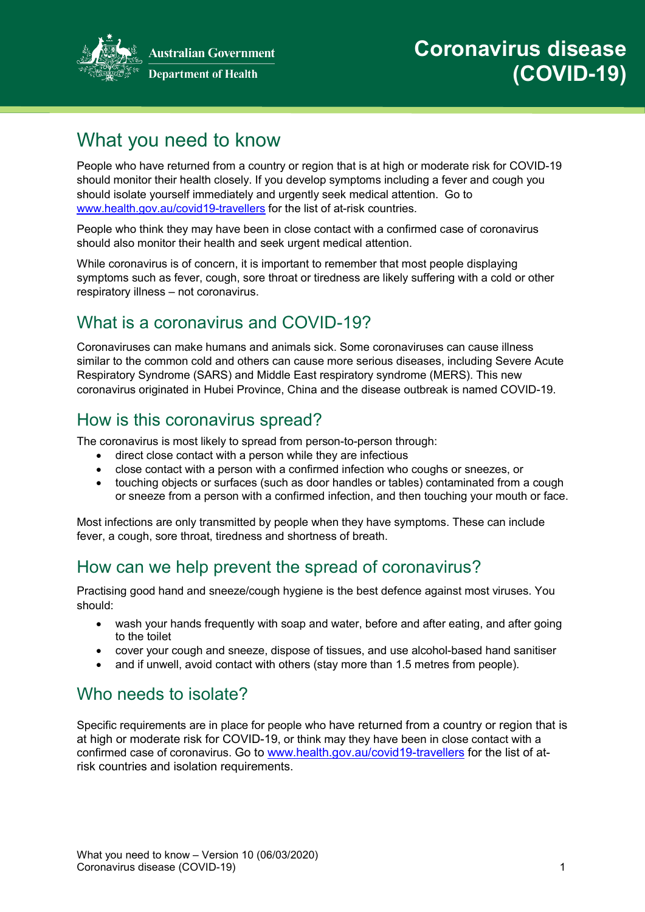

# What you need to know

People who have returned from a country or region that is at high or moderate risk for COVID-19 should monitor their health closely. If you develop symptoms including a fever and cough you should isolate yourself immediately and urgently seek medical attention. Go to [www.health.gov.au/covid19-travellers](http://www.health.gov.au/covid19-travellers) for the list of at-risk countries.

People who think they may have been in close contact with a confirmed case of coronavirus should also monitor their health and seek urgent medical attention.

While coronavirus is of concern, it is important to remember that most people displaying symptoms such as fever, cough, sore throat or tiredness are likely suffering with a cold or other respiratory illness – not coronavirus.

# What is a coronavirus and COVID-19?

Coronaviruses can make humans and animals sick. Some coronaviruses can cause illness similar to the common cold and others can cause more serious diseases, including Severe Acute Respiratory Syndrome (SARS) and Middle East respiratory syndrome (MERS). This new coronavirus originated in Hubei Province, China and the disease outbreak is named COVID-19.

### How is this coronavirus spread?

The coronavirus is most likely to spread from person-to-person through:

- direct close contact with a person while they are infectious
- close contact with a person with a confirmed infection who coughs or sneezes, or
- touching objects or surfaces (such as door handles or tables) contaminated from a cough or sneeze from a person with a confirmed infection, and then touching your mouth or face.

Most infections are only transmitted by people when they have symptoms. These can include fever, a cough, sore throat, tiredness and shortness of breath.

### How can we help prevent the spread of coronavirus?

Practising good hand and sneeze/cough hygiene is the best defence against most viruses. You should:

- wash your hands frequently with soap and water, before and after eating, and after going to the toilet
- cover your cough and sneeze, dispose of tissues, and use alcohol-based hand sanitiser
- and if unwell, avoid contact with others (stay more than 1.5 metres from people).

# Who needs to isolate?

Specific requirements are in place for people who have returned from a country or region that is at high or moderate risk for COVID-19, or think may they have been in close contact with a confirmed case of coronavirus. Go to [www.health.gov.au/covid19-travellers](http://www.health.gov.au/covid19-travellers) for the list of atrisk countries and isolation requirements.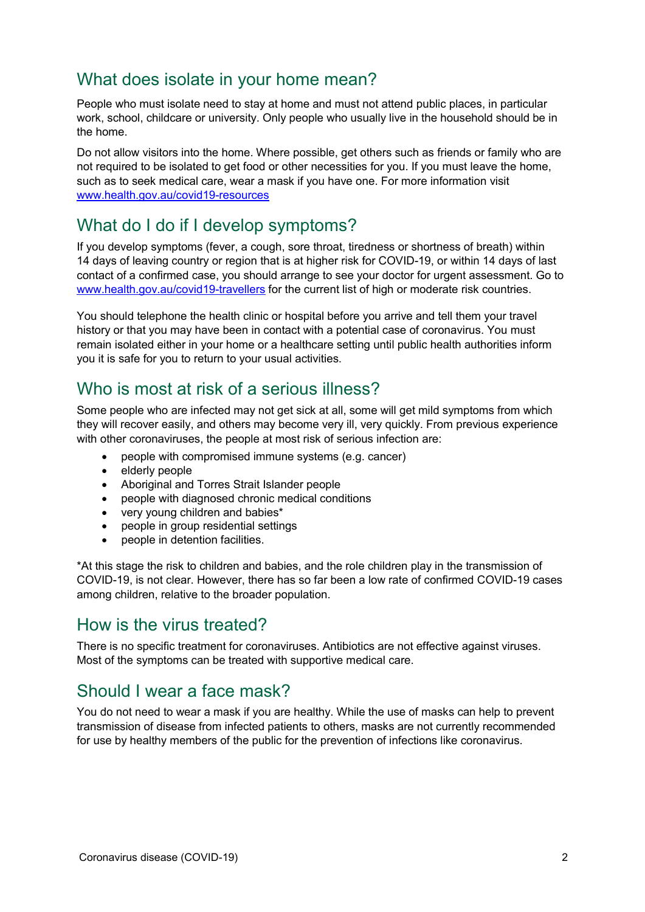### What does isolate in your home mean?

People who must isolate need to stay at home and must not attend public places, in particular work, school, childcare or university. Only people who usually live in the household should be in the home.

Do not allow visitors into the home. Where possible, get others such as friends or family who are not required to be isolated to get food or other necessities for you. If you must leave the home, such as to seek medical care, wear a mask if you have one. For more information visit [www.health.gov.au/covid19-resources](http://www.health.gov.au/covid19-resources)

### What do I do if I develop symptoms?

If you develop symptoms (fever, a cough, sore throat, tiredness or shortness of breath) within 14 days of leaving country or region that is at higher risk for COVID-19, or within 14 days of last contact of a confirmed case, you should arrange to see your doctor for urgent assessment. Go to [www.health.gov.au/covid19-travellers](http://www.health.gov.au/covid19-travellers) for the current list of high or moderate risk countries.

You should telephone the health clinic or hospital before you arrive and tell them your travel history or that you may have been in contact with a potential case of coronavirus. You must remain isolated either in your home or a healthcare setting until public health authorities inform you it is safe for you to return to your usual activities.

### Who is most at risk of a serious illness?

Some people who are infected may not get sick at all, some will get mild symptoms from which they will recover easily, and others may become very ill, very quickly. From previous experience with other coronaviruses, the people at most risk of serious infection are:

- people with compromised immune systems (e.g. cancer)
- elderly people
- Aboriginal and Torres Strait Islander people
- people with diagnosed chronic medical conditions
- very young children and babies\*
- people in group residential settings
- people in detention facilities.

\*At this stage the risk to children and babies, and the role children play in the transmission of COVID-19, is not clear. However, there has so far been a low rate of confirmed COVID-19 cases among children, relative to the broader population.

#### How is the virus treated?

There is no specific treatment for coronaviruses. Antibiotics are not effective against viruses. Most of the symptoms can be treated with supportive medical care.

### Should I wear a face mask?

You do not need to wear a mask if you are healthy. While the use of masks can help to prevent transmission of disease from infected patients to others, masks are not currently recommended for use by healthy members of the public for the prevention of infections like coronavirus.